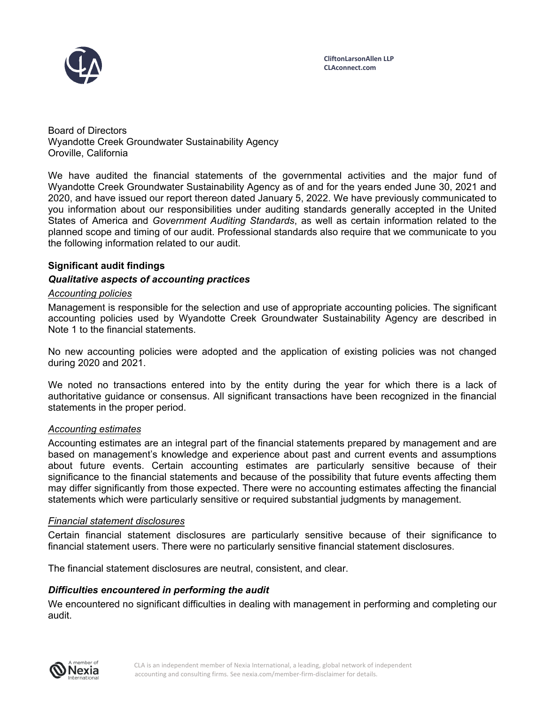

Board of Directors Wyandotte Creek Groundwater Sustainability Agency Oroville, California

We have audited the financial statements of the governmental activities and the major fund of Wyandotte Creek Groundwater Sustainability Agency as of and for the years ended June 30, 2021 and 2020, and have issued our report thereon dated January 5, 2022. We have previously communicated to you information about our responsibilities under auditing standards generally accepted in the United States of America and *Government Auditing Standards*, as well as certain information related to the planned scope and timing of our audit. Professional standards also require that we communicate to you the following information related to our audit.

# **Significant audit findings**

# *Qualitative aspects of accounting practices*

### *Accounting policies*

Management is responsible for the selection and use of appropriate accounting policies. The significant accounting policies used by Wyandotte Creek Groundwater Sustainability Agency are described in Note 1 to the financial statements.

No new accounting policies were adopted and the application of existing policies was not changed during 2020 and 2021.

We noted no transactions entered into by the entity during the year for which there is a lack of authoritative guidance or consensus. All significant transactions have been recognized in the financial statements in the proper period.

### *Accounting estimates*

Accounting estimates are an integral part of the financial statements prepared by management and are based on management's knowledge and experience about past and current events and assumptions about future events. Certain accounting estimates are particularly sensitive because of their significance to the financial statements and because of the possibility that future events affecting them may differ significantly from those expected. There were no accounting estimates affecting the financial statements which were particularly sensitive or required substantial judgments by management.

### *Financial statement disclosures*

Certain financial statement disclosures are particularly sensitive because of their significance to financial statement users. There were no particularly sensitive financial statement disclosures.

The financial statement disclosures are neutral, consistent, and clear.

### *Difficulties encountered in performing the audit*

We encountered no significant difficulties in dealing with management in performing and completing our audit.

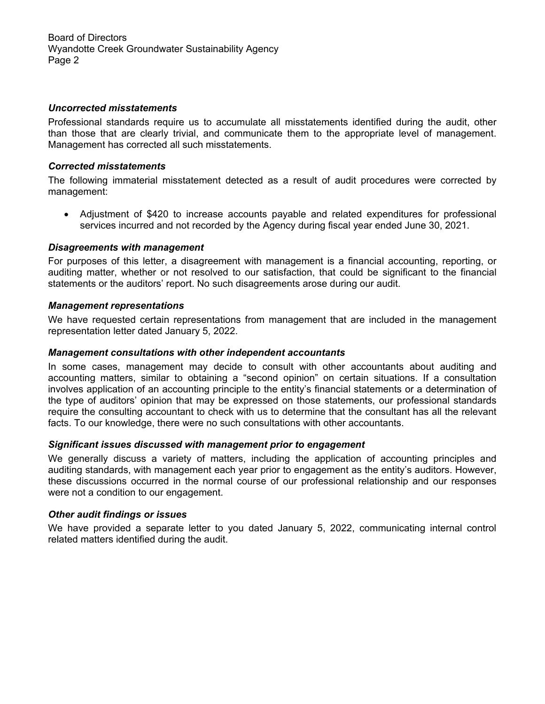Board of Directors Wyandotte Creek Groundwater Sustainability Agency Page 2

### *Uncorrected misstatements*

Professional standards require us to accumulate all misstatements identified during the audit, other than those that are clearly trivial, and communicate them to the appropriate level of management. Management has corrected all such misstatements.

# *Corrected misstatements*

The following immaterial misstatement detected as a result of audit procedures were corrected by management:

 Adjustment of \$420 to increase accounts payable and related expenditures for professional services incurred and not recorded by the Agency during fiscal year ended June 30, 2021.

### *Disagreements with management*

For purposes of this letter, a disagreement with management is a financial accounting, reporting, or auditing matter, whether or not resolved to our satisfaction, that could be significant to the financial statements or the auditors' report. No such disagreements arose during our audit.

### *Management representations*

We have requested certain representations from management that are included in the management representation letter dated January 5, 2022.

### *Management consultations with other independent accountants*

In some cases, management may decide to consult with other accountants about auditing and accounting matters, similar to obtaining a "second opinion" on certain situations. If a consultation involves application of an accounting principle to the entity's financial statements or a determination of the type of auditors' opinion that may be expressed on those statements, our professional standards require the consulting accountant to check with us to determine that the consultant has all the relevant facts. To our knowledge, there were no such consultations with other accountants.

# *Significant issues discussed with management prior to engagement*

We generally discuss a variety of matters, including the application of accounting principles and auditing standards, with management each year prior to engagement as the entity's auditors. However, these discussions occurred in the normal course of our professional relationship and our responses were not a condition to our engagement.

### *Other audit findings or issues*

We have provided a separate letter to you dated January 5, 2022, communicating internal control related matters identified during the audit.